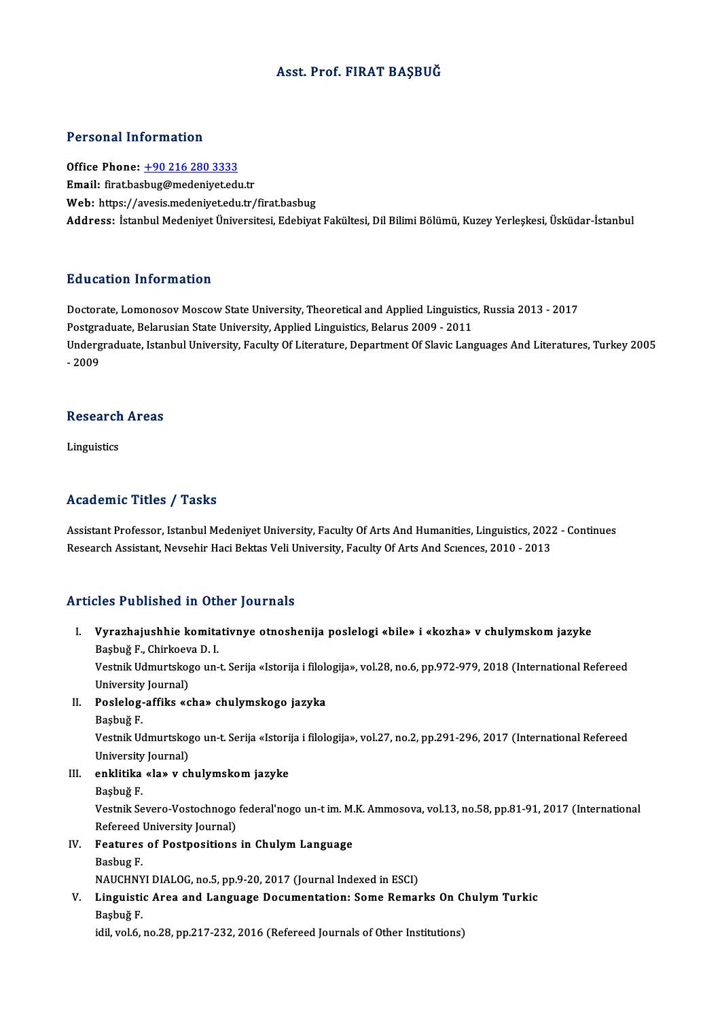## Asst. Prof. FIRAT BAŞBUĞ

#### Personal Information

Personal Information<br>Office Phone: <u>+90 216 280 3333</u><br>Email: first bashug@madenivet.cdv Procedure Hirot Hudron<br>Office Phone: <u>+90 216 280 3333</u><br>Email: firat.bas[bug@medeniyet.ed](tel:+90 216 280 3333)u.tr Email: firat.basbug@medeniyet.edu.tr<br>Web: https://avesis.medeniyet.edu.tr/firat.basbug Address: İstanbul Medeniyet Üniversitesi, Edebiyat Fakültesi, Dil Bilimi Bölümü, Kuzey Yerleşkesi, Üsküdar-İstanbul

#### Education Information

Education Information<br>Doctorate, Lomonosov Moscow State University, Theoretical and Applied Linguistics, Russia 2013 - 2017<br>Restanduate Pelarusian State University, Applied Linguistics, Pelarus 2009 - 2011 Put deather Triver Interest<br>Doctorate, Lomonosov Moscow State University, Theoretical and Applied Linguistics<br>Postgraduate, Belarusian State University, Applied Linguistics, Belarus 2009 - 2011<br>Undergraduate Istanbul Unive Undergraduate, Istanbul University, Faculty Of Literature, Department Of Slavic Languages And Literatures, Turkey 2005<br>- 2009 Postgraduate, Belarusian State University, Applied Linguistics, Belarus 2009 - 2011

## - 2009<br>Research Areas Re<mark>search</mark><br>Linguistics

# Academic Titles / Tasks

Assistant Professor, Istanbul Medeniyet University, Faculty Of Arts And Humanities, Linguistics, 2022 - Continues Research Assistant, Nevsehir Haci Bektas Veli University, Faculty Of Arts And Sciences, 2010 - 2013

### Articles Published in Other Journals

rticles Published in Other Journals<br>I. Vyrazhajushhie komitativnye otnoshenija poslelogi «bile» i «kozha» v chulymskom jazyke<br>Rashyž E. Chirkasya D. I. stes 1 dononcu in ou<br>Vyrazhajushhie komita<br>Başbuğ F., Chirkoeva D. I.<br>Vestnik Hamurtekoge un Vyrazhajushhie komitativnye otnoshenija poslelogi «bile» i «kozha» v chulymskom jazyke<br>Başbuğ F., Chirkoeva D. I.<br>Vestnik Udmurtskogo un-t. Serija «Istorija i filologija», vol.28, no.6, pp.972-979, 2018 (International Refe

Başbuğ F., Chirkoev<br>Vestnik Udmurtskog<br>University Journal)<br>Poslalas offiks *u*s Vestnik Udmurtskogo un-t. Serija «Istorija i filolo<br>University Journal)<br>II. Poslelog-affiks «cha» chulymskogo jazyka<br>Poshuž E

- University Journal)<br>II. Poslelog-affiks «cha» chulymskogo jazyka<br>Basbuğ F.
	-

Poslelog-affiks «cha» chulymskogo jazyka<br>Başbuğ F.<br>Vestnik Udmurtskogo un-t. Serija «Istorija i filologija», vol.27, no.2, pp.291-296, 2017 (International Refereed Başbuğ F.<br>Vestnik Udmurtskog<br>University Journal)<br>Anklitika «Ja» v. sk Vestnik Udmurtskogo un-t. Serija «Istori<br>University Journal)<br>III. enklitika «la» v chulymskom jazyke<br>Peshuğ E University<br>**enklitika**<br>Başbuğ F.<br>Vestnik Se

- -

enklitika «la» v chulymskom jazyke<br>Başbuğ F.<br>Vestnik Severo-Vostochnogo federal'nogo un-t im. M.K. Ammosova, vol.13, no.58, pp.81-91, 2017 (International<br>Refereed University Journal) Başbuğ F.<br>Vestnik Severo-Vostochnogo<br>Refereed University Journal)<br>Foatures of Bostnositions Vestnik Severo-Vostochnogo federal'nogo un-t im. M.<br>Refereed University Journal)<br>IV. Features of Postpositions in Chulym Language<br>Rechys E

Refereed University Journal)<br>IV. Features of Postpositions in Chulym Language<br>Basbug F.

Features of Postpositions in Chulym Language<br>Basbug F.<br>NAUCHNYI DIALOG, no.5, pp.9-20, 2017 (Journal Indexed in ESCI)<br>Linguistic Aree and Language Decumentation: Some Bemer

V. Linguistic Area and Language Documentation: Some Remarks On Chulym Turkic<br>Basbuğ F. NAUCHNY<br>Linguisti<br>Başbuğ F.<br>idil vol 6

idil, vol.6, no.28, pp.217-232, 2016 (Refereed Journals of Other Institutions)